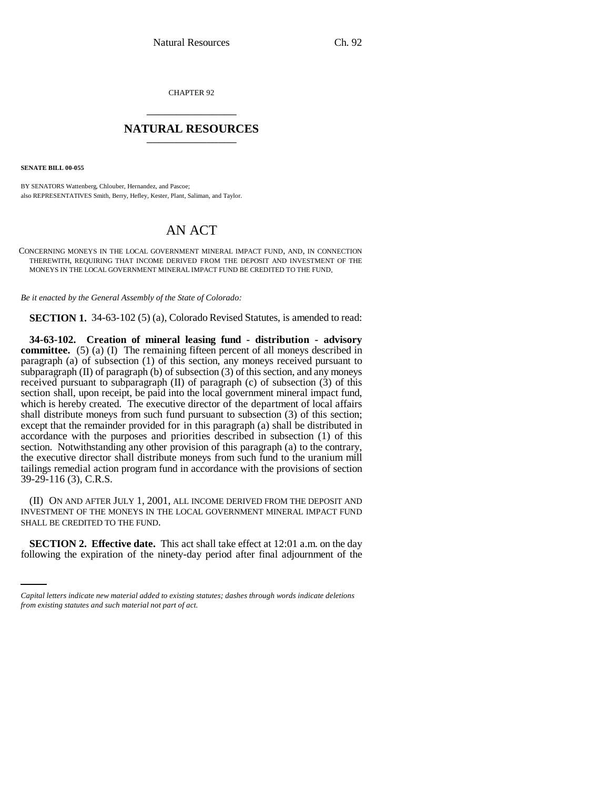CHAPTER 92 \_\_\_\_\_\_\_\_\_\_\_\_\_\_\_

## **NATURAL RESOURCES** \_\_\_\_\_\_\_\_\_\_\_\_\_\_\_

**SENATE BILL 00-055** 

BY SENATORS Wattenberg, Chlouber, Hernandez, and Pascoe; also REPRESENTATIVES Smith, Berry, Hefley, Kester, Plant, Saliman, and Taylor.

## AN ACT

CONCERNING MONEYS IN THE LOCAL GOVERNMENT MINERAL IMPACT FUND, AND, IN CONNECTION THEREWITH, REQUIRING THAT INCOME DERIVED FROM THE DEPOSIT AND INVESTMENT OF THE MONEYS IN THE LOCAL GOVERNMENT MINERAL IMPACT FUND BE CREDITED TO THE FUND.

*Be it enacted by the General Assembly of the State of Colorado:*

**SECTION 1.** 34-63-102 (5) (a), Colorado Revised Statutes, is amended to read:

**34-63-102. Creation of mineral leasing fund - distribution - advisory committee.** (5) (a) (I) The remaining fifteen percent of all moneys described in paragraph (a) of subsection (1) of this section, any moneys received pursuant to subparagraph (II) of paragraph (b) of subsection (3) of this section, and any moneys received pursuant to subparagraph (II) of paragraph (c) of subsection (3) of this section shall, upon receipt, be paid into the local government mineral impact fund, which is hereby created. The executive director of the department of local affairs shall distribute moneys from such fund pursuant to subsection (3) of this section; except that the remainder provided for in this paragraph (a) shall be distributed in accordance with the purposes and priorities described in subsection (1) of this section. Notwithstanding any other provision of this paragraph (a) to the contrary, the executive director shall distribute moneys from such fund to the uranium mill tailings remedial action program fund in accordance with the provisions of section 39-29-116 (3), C.R.S.

(II) ON AND AFTER JULY 1, 2001, ALL INCOME DERIVED FROM THE DEPOSIT AND INVESTMENT OF THE MONEYS IN THE LOCAL GOVERNMENT MINERAL IMPACT FUND SHALL BE CREDITED TO THE FUND.

**SECTION 2. Effective date.** This act shall take effect at 12:01 a.m. on the day following the expiration of the ninety-day period after final adjournment of the

*Capital letters indicate new material added to existing statutes; dashes through words indicate deletions from existing statutes and such material not part of act.*